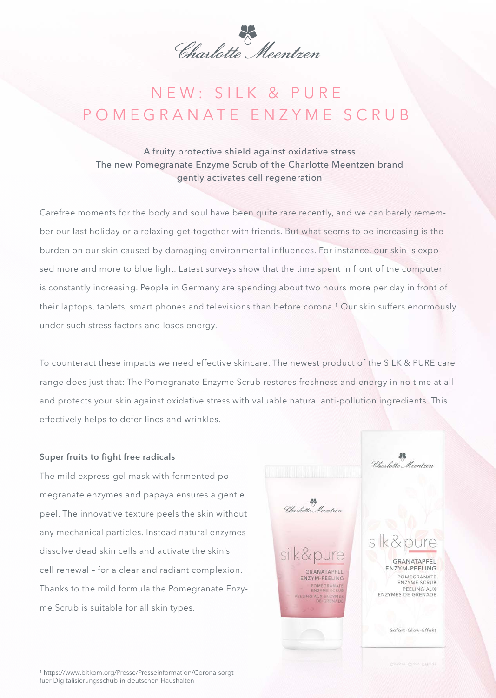Charlotte Meentzen

## N E W : SILK & PURE POMEGRANATE ENZYME SCRUB

A fruity protective shield against oxidative stress The new Pomegranate Enzyme Scrub of the Charlotte Meentzen brand gently activates cell regeneration

Carefree moments for the body and soul have been quite rare recently, and we can barely remember our last holiday or a relaxing get-together with friends. But what seems to be increasing is the burden on our skin caused by damaging environmental influences. For instance, our skin is exposed more and more to blue light. Latest surveys show that the time spent in front of the computer is constantly increasing. People in Germany are spending about two hours more per day in front of their laptops, tablets, smart phones and televisions than before corona.<sup>1</sup> Our skin suffers enormously under such stress factors and loses energy.

To counteract these impacts we need effective skincare. The newest product of the SILK & PURE care range does just that: The Pomegranate Enzyme Scrub restores freshness and energy in no time at all and protects your skin against oxidative stress with valuable natural anti-pollution ingredients. This effectively helps to defer lines and wrinkles.

Charlotte Meentren

GRANATAPFFI

POMEGRANATE

ENZYM-PEELING

ELING AUX ENZYMES

Charlotte Meentren

GRANATAPFEL ENZYM-PEELING

POMEGRANATE

ENZYME SCRUB

Sofort-Glow-Effekt

PEELING AUX

## Super fruits to fight free radicals

The mild express-gel mask with fermented pomegranate enzymes and papaya ensures a gentle peel. The innovative texture peels the skin without any mechanical particles. Instead natural enzymes dissolve dead skin cells and activate the skin's cell renewal – for a clear and radiant complexion. Thanks to the mild formula the Pomegranate Enzyme Scrub is suitable for all skin types.

1 https://www.bitkom.org/Presse/Presseinformation/Corona-sorgtfuer-Digitalisierungsschub-in-deutschen-Haushalten